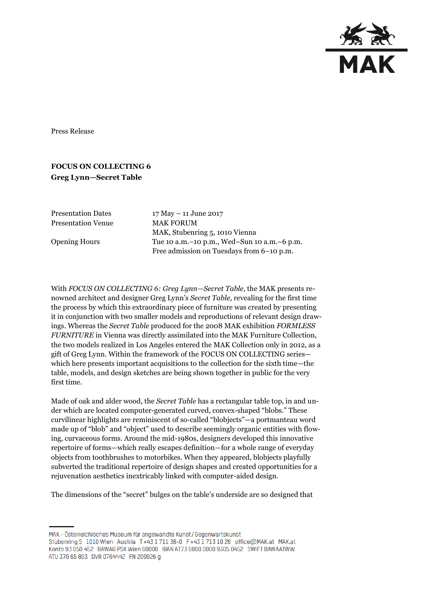

Press Release

## **FOCUS ON COLLECTING 6 Greg Lynn—Secret Table**

Presentation Dates 17 May – 11 June 2017 Presentation Venue MAK FORUM

MAK, Stubenring 5, 1010 Vienna Opening Hours Tue 10 a.m.–10 p.m., Wed–Sun 10 a.m.–6 p.m. Free admission on Tuesdays from 6–10 p.m.

With *FOCUS ON COLLECTING 6: Greg Lynn—Secret Table*, the MAK presents renowned architect and designer Greg Lynn's *Secret Table*, revealing for the first time the process by which this extraordinary piece of furniture was created by presenting it in conjunction with two smaller models and reproductions of relevant design drawings. Whereas the *Secret Table* produced for the 2008 MAK exhibition *FORMLESS FURNITURE* in Vienna was directly assimilated into the MAK Furniture Collection, the two models realized in Los Angeles entered the MAK Collection only in 2012, as a gift of Greg Lynn. Within the framework of the FOCUS ON COLLECTING series which here presents important acquisitions to the collection for the sixth time—the table, models, and design sketches are being shown together in public for the very first time.

Made of oak and alder wood, the *Secret Table* has a rectangular table top, in and under which are located computer-generated curved, convex-shaped "blobs." These curvilinear highlights are reminiscent of so-called "blobjects"—a portmanteau word made up of "blob" and "object" used to describe seemingly organic entities with flowing, curvaceous forms. Around the mid-1980s, designers developed this innovative repertoire of forms—which really escapes definition—for a whole range of everyday objects from toothbrushes to motorbikes. When they appeared, blobjects playfully subverted the traditional repertoire of design shapes and created opportunities for a rejuvenation aesthetics inextricably linked with computer-aided design.

The dimensions of the "secret" bulges on the table's underside are so designed that

MAK - Österreichisches Museum für angewandte Kunst/Gegenwartskunst Stubenring 5 1010 Wien Austria T+43 1711 36-0 F+43 1713 10 26 office@MAK.at MAK.at Konto 93 050 452 BAWAG PSK Wien 60000 IBAN AT73 6000 0000 9305 0452 SWIFT BAWAATWW ATU 370 65 803 DVR 0764442 FN 200026 g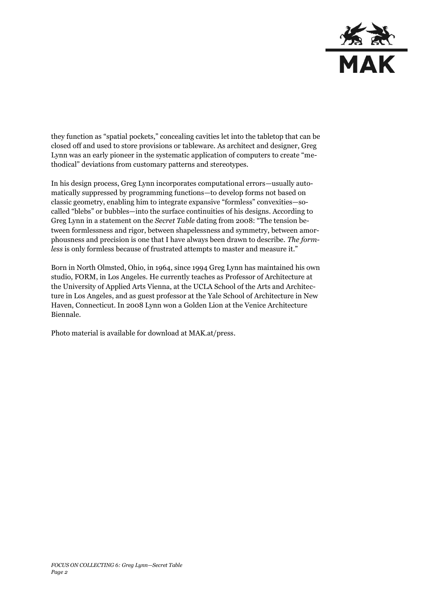

they function as "spatial pockets," concealing cavities let into the tabletop that can be closed off and used to store provisions or tableware. As architect and designer, Greg Lynn was an early pioneer in the systematic application of computers to create "methodical" deviations from customary patterns and stereotypes.

In his design process, Greg Lynn incorporates computational errors—usually automatically suppressed by programming functions—to develop forms not based on classic geometry, enabling him to integrate expansive "formless" convexities—socalled "blebs" or bubbles—into the surface continuities of his designs. According to Greg Lynn in a statement on the *Secret Table* dating from 2008: "The tension between formlessness and rigor, between shapelessness and symmetry, between amorphousness and precision is one that I have always been drawn to describe. *The formless* is only formless because of frustrated attempts to master and measure it."

Born in North Olmsted, Ohio, in 1964, since 1994 Greg Lynn has maintained his own studio, FORM, in Los Angeles. He currently teaches as Professor of Architecture at the University of Applied Arts Vienna, at the UCLA School of the Arts and Architecture in Los Angeles, and as guest professor at the Yale School of Architecture in New Haven, Connecticut. In 2008 Lynn won a Golden Lion at the Venice Architecture Biennale.

Photo material is available for download at MAK.at/press.